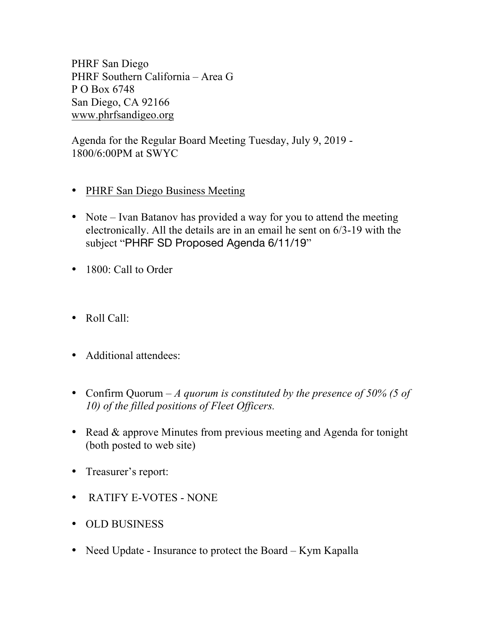PHRF San Diego PHRF Southern California – Area G P O Box 6748 San Diego, CA 92166 www.phrfsandigeo.org

Agenda for the Regular Board Meeting Tuesday, July 9, 2019 - 1800/6:00PM at SWYC

- PHRF San Diego Business Meeting
- Note Ivan Batanov has provided a way for you to attend the meeting electronically. All the details are in an email he sent on 6/3-19 with the subject "PHRF SD Proposed Agenda 6/11/19"
- 1800: Call to Order
- Roll Call:
- Additional attendees:
- Confirm Quorum *A quorum is constituted by the presence of 50% (5 of 10) of the filled positions of Fleet Officers.*
- Read & approve Minutes from previous meeting and Agenda for tonight (both posted to web site)
- Treasurer's report:
- RATIFY E-VOTES NONE
- OLD BUSINESS
- Need Update Insurance to protect the Board *–* Kym Kapalla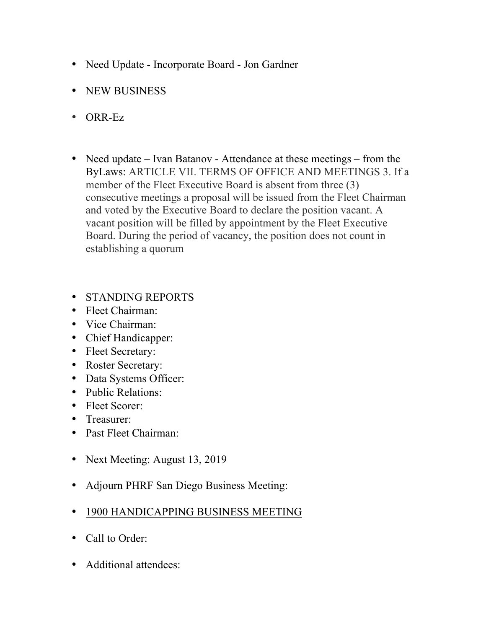- Need Update Incorporate Board Jon Gardner
- NEW BUSINESS
- ORR-Ez
- Need update Ivan Batanov Attendance at these meetings from the ByLaws: ARTICLE VII. TERMS OF OFFICE AND MEETINGS 3. If a member of the Fleet Executive Board is absent from three (3) consecutive meetings a proposal will be issued from the Fleet Chairman and voted by the Executive Board to declare the position vacant. A vacant position will be filled by appointment by the Fleet Executive Board. During the period of vacancy, the position does not count in establishing a quorum
- STANDING REPORTS
- Fleet Chairman:
- Vice Chairman:
- Chief Handicapper:
- Fleet Secretary:
- Roster Secretary:
- Data Systems Officer:
- Public Relations:
- Fleet Scorer:
- Treasurer:
- Past Fleet Chairman:
- Next Meeting: August 13, 2019
- Adjourn PHRF San Diego Business Meeting:
- 1900 HANDICAPPING BUSINESS MEETING
- Call to Order:
- Additional attendees: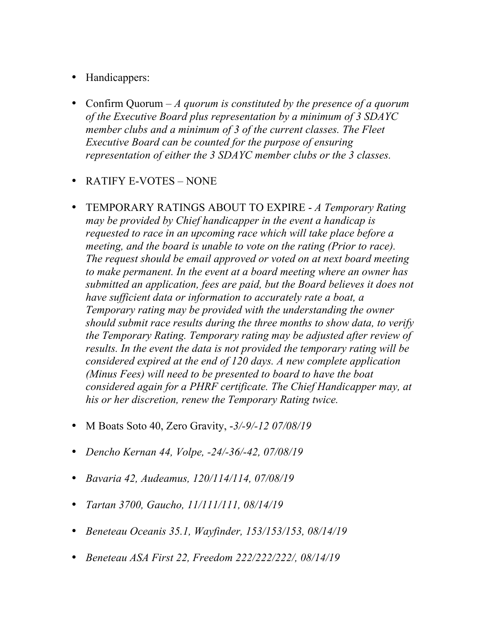- Handicappers:
- Confirm Quorum *A quorum is constituted by the presence of a quorum of the Executive Board plus representation by a minimum of 3 SDAYC member clubs and a minimum of 3 of the current classes. The Fleet Executive Board can be counted for the purpose of ensuring representation of either the 3 SDAYC member clubs or the 3 classes.*
- RATIFY E-VOTES NONE
- TEMPORARY RATINGS ABOUT TO EXPIRE *A Temporary Rating may be provided by Chief handicapper in the event a handicap is requested to race in an upcoming race which will take place before a meeting, and the board is unable to vote on the rating (Prior to race). The request should be email approved or voted on at next board meeting to make permanent. In the event at a board meeting where an owner has submitted an application, fees are paid, but the Board believes it does not have sufficient data or information to accurately rate a boat, a Temporary rating may be provided with the understanding the owner should submit race results during the three months to show data, to verify the Temporary Rating. Temporary rating may be adjusted after review of results. In the event the data is not provided the temporary rating will be considered expired at the end of 120 days. A new complete application (Minus Fees) will need to be presented to board to have the boat considered again for a PHRF certificate. The Chief Handicapper may, at his or her discretion, renew the Temporary Rating twice.*
- M Boats Soto 40, Zero Gravity, -*3/-9/-12 07/08/19*
- *Dencho Kernan 44, Volpe, -24/-36/-42, 07/08/19*
- *Bavaria 42, Audeamus, 120/114/114, 07/08/19*
- *Tartan 3700, Gaucho, 11/111/111, 08/14/19*
- *Beneteau Oceanis 35.1, Wayfinder, 153/153/153, 08/14/19*
- *Beneteau ASA First 22, Freedom 222/222/222/, 08/14/19*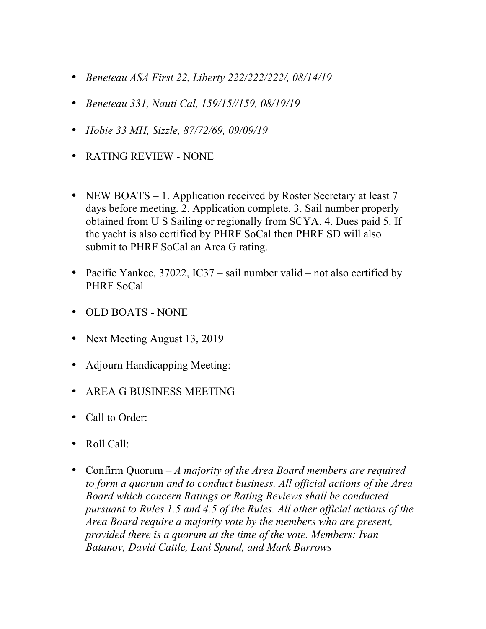- *Beneteau ASA First 22, Liberty 222/222/222/, 08/14/19*
- *Beneteau 331, Nauti Cal, 159/15//159, 08/19/19*
- *Hobie 33 MH, Sizzle, 87/72/69, 09/09/19*
- RATING REVIEW NONE
- NEW BOATS 1. Application received by Roster Secretary at least 7 days before meeting. 2. Application complete. 3. Sail number properly obtained from U S Sailing or regionally from SCYA. 4. Dues paid 5. If the yacht is also certified by PHRF SoCal then PHRF SD will also submit to PHRF SoCal an Area G rating.
- Pacific Yankee, 37022, IC37 sail number valid not also certified by PHRF SoCal
- OLD BOATS NONE
- Next Meeting August 13, 2019
- Adjourn Handicapping Meeting:
- AREA G BUSINESS MEETING
- Call to Order:
- Roll Call:
- Confirm Quorum *A majority of the Area Board members are required to form a quorum and to conduct business. All official actions of the Area Board which concern Ratings or Rating Reviews shall be conducted pursuant to Rules 1.5 and 4.5 of the Rules. All other official actions of the Area Board require a majority vote by the members who are present, provided there is a quorum at the time of the vote. Members: Ivan Batanov, David Cattle, Lani Spund, and Mark Burrows*